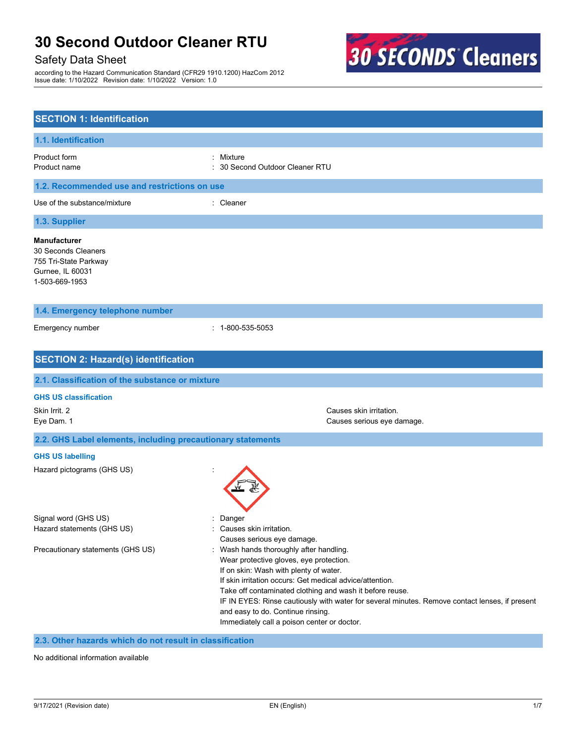# Safety Data Sheet

according to the Hazard Communication Standard (CFR29 1910.1200) HazCom 2012 Issue date: 1/10/2022 Revision date: 1/10/2022 Version: 1.0



| <b>SECTION 1: Identification</b>                                                                          |                                                                                                                                                                                                                                                                                                                                                                                                                                          |  |  |  |
|-----------------------------------------------------------------------------------------------------------|------------------------------------------------------------------------------------------------------------------------------------------------------------------------------------------------------------------------------------------------------------------------------------------------------------------------------------------------------------------------------------------------------------------------------------------|--|--|--|
| 1.1. Identification                                                                                       |                                                                                                                                                                                                                                                                                                                                                                                                                                          |  |  |  |
| Product form<br>Product name                                                                              | Mixture<br>30 Second Outdoor Cleaner RTU                                                                                                                                                                                                                                                                                                                                                                                                 |  |  |  |
| 1.2. Recommended use and restrictions on use                                                              |                                                                                                                                                                                                                                                                                                                                                                                                                                          |  |  |  |
| Use of the substance/mixture                                                                              | : Cleaner                                                                                                                                                                                                                                                                                                                                                                                                                                |  |  |  |
| 1.3. Supplier                                                                                             |                                                                                                                                                                                                                                                                                                                                                                                                                                          |  |  |  |
| <b>Manufacturer</b><br>30 Seconds Cleaners<br>755 Tri-State Parkway<br>Gurnee, IL 60031<br>1-503-669-1953 |                                                                                                                                                                                                                                                                                                                                                                                                                                          |  |  |  |
| 1.4. Emergency telephone number                                                                           |                                                                                                                                                                                                                                                                                                                                                                                                                                          |  |  |  |
| Emergency number                                                                                          | $: 1-800-535-5053$                                                                                                                                                                                                                                                                                                                                                                                                                       |  |  |  |
| <b>SECTION 2: Hazard(s) identification</b>                                                                |                                                                                                                                                                                                                                                                                                                                                                                                                                          |  |  |  |
| 2.1. Classification of the substance or mixture                                                           |                                                                                                                                                                                                                                                                                                                                                                                                                                          |  |  |  |
| <b>GHS US classification</b>                                                                              |                                                                                                                                                                                                                                                                                                                                                                                                                                          |  |  |  |
| Skin Irrit. 2<br>Eye Dam. 1                                                                               | Causes skin irritation.<br>Causes serious eye damage.                                                                                                                                                                                                                                                                                                                                                                                    |  |  |  |
| 2.2. GHS Label elements, including precautionary statements                                               |                                                                                                                                                                                                                                                                                                                                                                                                                                          |  |  |  |
| <b>GHS US labelling</b>                                                                                   |                                                                                                                                                                                                                                                                                                                                                                                                                                          |  |  |  |
| Hazard pictograms (GHS US)                                                                                |                                                                                                                                                                                                                                                                                                                                                                                                                                          |  |  |  |
| Signal word (GHS US)<br>Hazard statements (GHS US)                                                        | Danger<br>Causes skin irritation.<br>Causes serious eye damage.                                                                                                                                                                                                                                                                                                                                                                          |  |  |  |
| Precautionary statements (GHS US)                                                                         | Wash hands thoroughly after handling.<br>Wear protective gloves, eye protection.<br>If on skin: Wash with plenty of water.<br>If skin irritation occurs: Get medical advice/attention.<br>Take off contaminated clothing and wash it before reuse.<br>IF IN EYES: Rinse cautiously with water for several minutes. Remove contact lenses, if present<br>and easy to do. Continue rinsing.<br>Immediately call a poison center or doctor. |  |  |  |

**2.3. Other hazards which do not result in classification**

No additional information available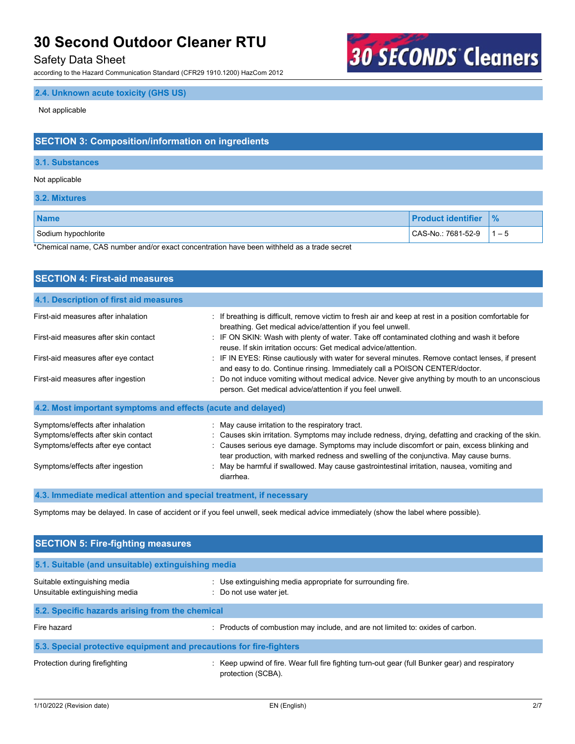## Safety Data Sheet

according to the Hazard Communication Standard (CFR29 1910.1200) HazCom 2012

# **30 SECONDS Cleaners**

## **2.4. Unknown acute toxicity (GHS US)**

Not applicable

# **SECTION 3: Composition/information on ingredients**

#### **3.1. Substances**

#### Not applicable

**3.2. Mixtures**

| <b>Name</b>         | <b>Product identifier</b> | $\frac{9}{6}$ |
|---------------------|---------------------------|---------------|
| Sodium hypochlorite | CAS-No.: 7681-52-9        | $1 - 5$       |

\*Chemical name, CAS number and/or exact concentration have been withheld as a trade secret

| <b>SECTION 4: First-aid measures</b>                                                                                                               |                                                                                                                                                                                                                                                                                                                                                                                                                                                         |  |  |
|----------------------------------------------------------------------------------------------------------------------------------------------------|---------------------------------------------------------------------------------------------------------------------------------------------------------------------------------------------------------------------------------------------------------------------------------------------------------------------------------------------------------------------------------------------------------------------------------------------------------|--|--|
| 4.1. Description of first aid measures                                                                                                             |                                                                                                                                                                                                                                                                                                                                                                                                                                                         |  |  |
| First-aid measures after inhalation                                                                                                                | : If breathing is difficult, remove victim to fresh air and keep at rest in a position comfortable for<br>breathing. Get medical advice/attention if you feel unwell.                                                                                                                                                                                                                                                                                   |  |  |
| First-aid measures after skin contact                                                                                                              | : IF ON SKIN: Wash with plenty of water. Take off contaminated clothing and wash it before<br>reuse. If skin irritation occurs: Get medical advice/attention.                                                                                                                                                                                                                                                                                           |  |  |
| First-aid measures after eye contact                                                                                                               | : IF IN EYES: Rinse cautiously with water for several minutes. Remove contact lenses, if present<br>and easy to do. Continue rinsing. Immediately call a POISON CENTER/doctor.                                                                                                                                                                                                                                                                          |  |  |
| First-aid measures after ingestion                                                                                                                 | : Do not induce vomiting without medical advice. Never give anything by mouth to an unconscious<br>person. Get medical advice/attention if you feel unwell.                                                                                                                                                                                                                                                                                             |  |  |
| 4.2. Most important symptoms and effects (acute and delayed)                                                                                       |                                                                                                                                                                                                                                                                                                                                                                                                                                                         |  |  |
| Symptoms/effects after inhalation<br>Symptoms/effects after skin contact<br>Symptoms/effects after eye contact<br>Symptoms/effects after ingestion | : May cause irritation to the respiratory tract.<br>: Causes skin irritation. Symptoms may include redness, drying, defatting and cracking of the skin.<br>Causes serious eye damage. Symptoms may include discomfort or pain, excess blinking and<br>tear production, with marked redness and swelling of the conjunctiva. May cause burns.<br>: May be harmful if swallowed. May cause gastrointestinal irritation, nausea, vomiting and<br>diarrhea. |  |  |

### **4.3. Immediate medical attention and special treatment, if necessary**

Symptoms may be delayed. In case of accident or if you feel unwell, seek medical advice immediately (show the label where possible).

| <b>SECTION 5: Fire-fighting measures</b>                            |                                                                                                                       |  |
|---------------------------------------------------------------------|-----------------------------------------------------------------------------------------------------------------------|--|
| 5.1. Suitable (and unsuitable) extinguishing media                  |                                                                                                                       |  |
| Suitable extinguishing media<br>Unsuitable extinguishing media      | : Use extinguishing media appropriate for surrounding fire.<br>Do not use water jet.                                  |  |
| 5.2. Specific hazards arising from the chemical                     |                                                                                                                       |  |
| Fire hazard                                                         | : Products of combustion may include, and are not limited to: oxides of carbon.                                       |  |
| 5.3. Special protective equipment and precautions for fire-fighters |                                                                                                                       |  |
| Protection during firefighting                                      | : Keep upwind of fire. Wear full fire fighting turn-out gear (full Bunker gear) and respiratory<br>protection (SCBA). |  |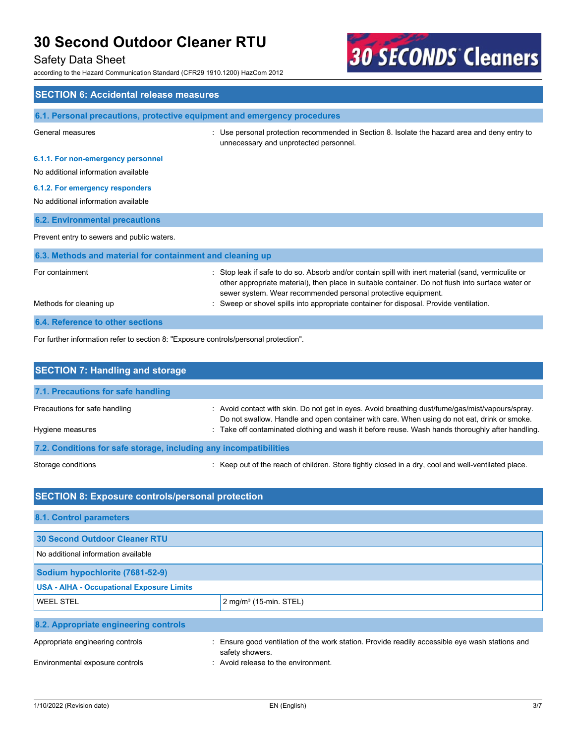# Safety Data Sheet

according to the Hazard Communication Standard (CFR29 1910.1200) HazCom 2012



| <b>SECTION 6: Accidental release measures</b>                                        |                                                                                                                                                                                                                                                                                                   |  |
|--------------------------------------------------------------------------------------|---------------------------------------------------------------------------------------------------------------------------------------------------------------------------------------------------------------------------------------------------------------------------------------------------|--|
| 6.1. Personal precautions, protective equipment and emergency procedures             |                                                                                                                                                                                                                                                                                                   |  |
| General measures                                                                     | : Use personal protection recommended in Section 8. Isolate the hazard area and deny entry to<br>unnecessary and unprotected personnel.                                                                                                                                                           |  |
| 6.1.1. For non-emergency personnel                                                   |                                                                                                                                                                                                                                                                                                   |  |
| No additional information available                                                  |                                                                                                                                                                                                                                                                                                   |  |
| 6.1.2. For emergency responders                                                      |                                                                                                                                                                                                                                                                                                   |  |
| No additional information available                                                  |                                                                                                                                                                                                                                                                                                   |  |
| <b>6.2. Environmental precautions</b>                                                |                                                                                                                                                                                                                                                                                                   |  |
| Prevent entry to sewers and public waters.                                           |                                                                                                                                                                                                                                                                                                   |  |
| 6.3. Methods and material for containment and cleaning up                            |                                                                                                                                                                                                                                                                                                   |  |
| For containment                                                                      | Stop leak if safe to do so. Absorb and/or contain spill with inert material (sand, vermiculite or<br>other appropriate material), then place in suitable container. Do not flush into surface water or<br>sewer system. Wear recommended personal protective equipment.                           |  |
| Methods for cleaning up                                                              | Sweep or shovel spills into appropriate container for disposal. Provide ventilation.                                                                                                                                                                                                              |  |
| 6.4. Reference to other sections                                                     |                                                                                                                                                                                                                                                                                                   |  |
| For further information refer to section 8: "Exposure controls/personal protection". |                                                                                                                                                                                                                                                                                                   |  |
| <b>SECTION 7: Handling and storage</b>                                               |                                                                                                                                                                                                                                                                                                   |  |
| 7.1. Precautions for safe handling                                                   |                                                                                                                                                                                                                                                                                                   |  |
| Precautions for safe handling<br>Hygiene measures                                    | : Avoid contact with skin. Do not get in eyes. Avoid breathing dust/fume/gas/mist/vapours/spray.<br>Do not swallow. Handle and open container with care. When using do not eat, drink or smoke.<br>Take off contaminated clothing and wash it before reuse. Wash hands thoroughly after handling. |  |

**7.2. Conditions for safe storage, including any incompatibilities**

Storage conditions **interpret of the reach of children.** Store tightly closed in a dry, cool and well-ventilated place.

# **SECTION 8: Exposure controls/personal protection 8.1. Control parameters 30 Second Outdoor Cleaner RTU**  No additional information available **Sodium hypochlorite (7681-52-9) USA - AIHA - Occupational Exposure Limits** WEEL STEL 2 mg/m<sup>3</sup> (15-min. STEL) **8.2. Appropriate engineering controls** Appropriate engineering controls : Ensure good ventilation of the work station. Provide readily accessible eye wash stations and safety showers. Environmental exposure controls **Environment**. Avoid release to the environment.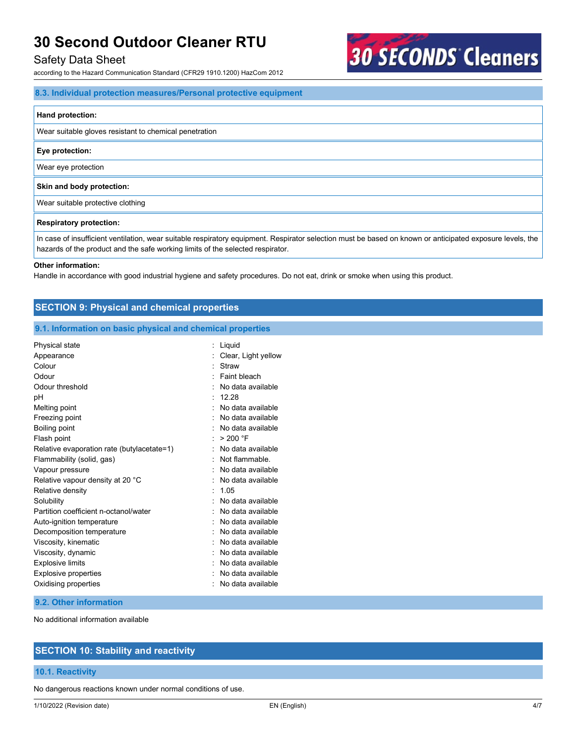## Safety Data Sheet

according to the Hazard Communication Standard (CFR29 1910.1200) HazCom 2012

#### **8.3. Individual protection measures/Personal protective equipment**

#### **Hand protection:**

Wear suitable gloves resistant to chemical penetration

#### **Eye protection:**

Wear eye protection

#### **Skin and body protection:**

Wear suitable protective clothing

#### **Respiratory protection:**

In case of insufficient ventilation, wear suitable respiratory equipment. Respirator selection must be based on known or anticipated exposure levels, the hazards of the product and the safe working limits of the selected respirator.

**30 SECONDS Cleaners** 

#### **Other information:**

Handle in accordance with good industrial hygiene and safety procedures. Do not eat, drink or smoke when using this product.

| <b>SECTION 9: Physical and chemical properties</b>         |                       |  |
|------------------------------------------------------------|-----------------------|--|
| 9.1. Information on basic physical and chemical properties |                       |  |
| Physical state                                             | : Liquid              |  |
| Appearance                                                 | : Clear, Light yellow |  |
| Colour                                                     | : Straw               |  |
| Odour                                                      | : Faint bleach        |  |
| Odour threshold                                            | : No data available   |  |
| рH                                                         | : 12.28               |  |
| Melting point                                              | : No data available   |  |
| Freezing point                                             | : No data available   |  |
| Boiling point                                              | : No data available   |  |
| Flash point                                                | : $>200$ °F           |  |
| Relative evaporation rate (butylacetate=1)                 | : No data available   |  |
| Flammability (solid, gas)                                  | : Not flammable.      |  |
| Vapour pressure                                            | : No data available   |  |
| Relative vapour density at 20 °C                           | : No data available   |  |
|                                                            |                       |  |

| Relative density                      | : 1.05              |
|---------------------------------------|---------------------|
| Solubility                            | : No data available |
| Partition coefficient n-octanol/water | : No data available |
| Auto-ignition temperature             | : No data available |
| Decomposition temperature             | : No data available |
| Viscosity, kinematic                  | : No data available |
| Viscosity, dynamic                    | : No data available |
| Explosive limits                      | : No data available |
| <b>Explosive properties</b>           | : No data available |
| Oxidising properties                  | : No data available |
|                                       |                     |

#### **9.2. Other information**

No additional information available

# **SECTION 10: Stability and reactivity**

#### **10.1. Reactivity**

No dangerous reactions known under normal conditions of use.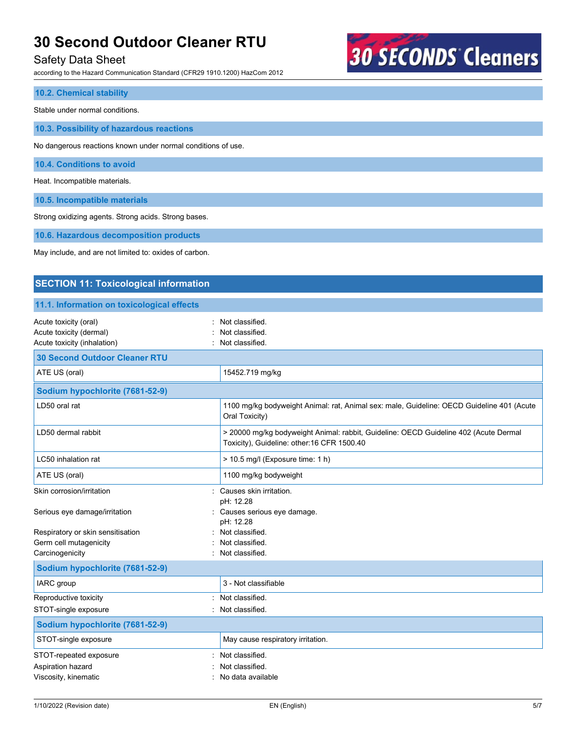## Safety Data Sheet

according to the Hazard Communication Standard (CFR29 1910.1200) HazCom 2012

# **30 SECONDS Cleaners**

#### **10.2. Chemical stability**

Stable under normal conditions.

**10.3. Possibility of hazardous reactions**

No dangerous reactions known under normal conditions of use.

**10.4. Conditions to avoid**

Heat. Incompatible materials.

**10.5. Incompatible materials**

Strong oxidizing agents. Strong acids. Strong bases.

**10.6. Hazardous decomposition products**

May include, and are not limited to: oxides of carbon.

# **SECTION 11: Toxicological information**

#### **11.1. Information on toxicological effects**

| Acute toxicity (oral)<br>Acute toxicity (dermal)<br>Acute toxicity (inhalation) | Not classified.<br>Not classified.<br>Not classified.                                                                              |
|---------------------------------------------------------------------------------|------------------------------------------------------------------------------------------------------------------------------------|
| <b>30 Second Outdoor Cleaner RTU</b>                                            |                                                                                                                                    |
| ATE US (oral)                                                                   | 15452.719 mg/kg                                                                                                                    |
| Sodium hypochlorite (7681-52-9)                                                 |                                                                                                                                    |
| LD50 oral rat                                                                   | 1100 mg/kg bodyweight Animal: rat, Animal sex: male, Guideline: OECD Guideline 401 (Acute<br>Oral Toxicity)                        |
| LD50 dermal rabbit                                                              | > 20000 mg/kg bodyweight Animal: rabbit, Guideline: OECD Guideline 402 (Acute Dermal<br>Toxicity), Guideline: other:16 CFR 1500.40 |
| LC50 inhalation rat                                                             | > 10.5 mg/l (Exposure time: 1 h)                                                                                                   |
| ATE US (oral)                                                                   | 1100 mg/kg bodyweight                                                                                                              |
| Skin corrosion/irritation                                                       | Causes skin irritation.<br>pH: 12.28                                                                                               |
| Serious eye damage/irritation                                                   | Causes serious eye damage.<br>pH: 12.28                                                                                            |
| Respiratory or skin sensitisation                                               | Not classified.                                                                                                                    |
| Germ cell mutagenicity                                                          | Not classified.<br>Not classified.                                                                                                 |
| Carcinogenicity                                                                 |                                                                                                                                    |
| Sodium hypochlorite (7681-52-9)                                                 |                                                                                                                                    |
| IARC group                                                                      | 3 - Not classifiable                                                                                                               |
| Reproductive toxicity                                                           | Not classified.                                                                                                                    |
| STOT-single exposure                                                            | Not classified.                                                                                                                    |
| Sodium hypochlorite (7681-52-9)                                                 |                                                                                                                                    |
| STOT-single exposure                                                            | May cause respiratory irritation.                                                                                                  |
| STOT-repeated exposure                                                          | Not classified.                                                                                                                    |
| Aspiration hazard                                                               | Not classified.                                                                                                                    |
| Viscosity, kinematic                                                            | No data available                                                                                                                  |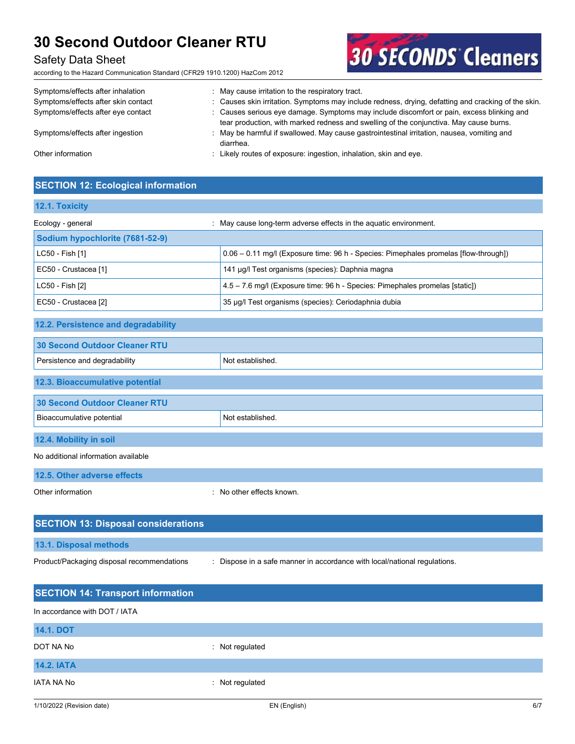# Safety Data Sheet

according to the Hazard Communication Standard (CFR29 1910.1200) HazCom 2012



**30 SECONDS Cleaners** 

# **SECTION 12: Ecological information**

| 12.1. Toxicity                             |                                                                                      |
|--------------------------------------------|--------------------------------------------------------------------------------------|
| Ecology - general                          | : May cause long-term adverse effects in the aquatic environment.                    |
| Sodium hypochlorite (7681-52-9)            |                                                                                      |
| LC50 - Fish [1]                            | 0.06 - 0.11 mg/l (Exposure time: 96 h - Species: Pimephales promelas [flow-through]) |
| EC50 - Crustacea [1]                       | 141 µg/l Test organisms (species): Daphnia magna                                     |
| LC50 - Fish [2]                            | 4.5 - 7.6 mg/l (Exposure time: 96 h - Species: Pimephales promelas [static])         |
| EC50 - Crustacea [2]                       | 35 µg/l Test organisms (species): Ceriodaphnia dubia                                 |
| 12.2. Persistence and degradability        |                                                                                      |
| <b>30 Second Outdoor Cleaner RTU</b>       |                                                                                      |
| Persistence and degradability              | Not established.                                                                     |
| 12.3. Bioaccumulative potential            |                                                                                      |
| <b>30 Second Outdoor Cleaner RTU</b>       |                                                                                      |
| Bioaccumulative potential                  | Not established.                                                                     |
| 12.4. Mobility in soil                     |                                                                                      |
| No additional information available        |                                                                                      |
| 12.5. Other adverse effects                |                                                                                      |
| Other information                          | : No other effects known.                                                            |
| <b>SECTION 13: Disposal considerations</b> |                                                                                      |
| 13.1. Disposal methods                     |                                                                                      |
| Product/Packaging disposal recommendations | : Dispose in a safe manner in accordance with local/national regulations.            |
| <b>SECTION 14: Transport information</b>   |                                                                                      |
| In accordance with DOT / IATA              |                                                                                      |
| <b>14.1. DOT</b>                           |                                                                                      |
| DOT NA No                                  | : Not regulated                                                                      |
| <b>14.2. IATA</b>                          |                                                                                      |

IATA NA No **interval of the COVID-12 COVID-12 COVID-12** COVID-12 Not regulated